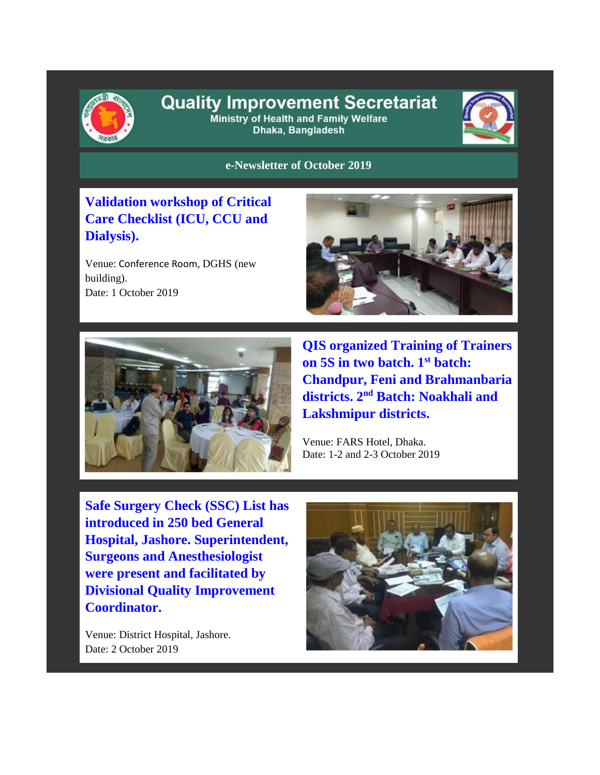

## **Quality Improvement Secretariat** Ministry of Health and Family Welfare

Dhaka, Bangladesh



**e-Newsletter of October 2019**

**Validation workshop of Critical Care Checklist (ICU, CCU and Dialysis).**

Venue: Conference Room, DGHS (new building). Date: 1 October 2019





**QIS organized Training of Trainers on 5S in two batch. 1 st batch: Chandpur, Feni and Brahmanbaria districts. 2nd Batch: Noakhali and Lakshmipur districts.** 

Venue: FARS Hotel, Dhaka. Date: 1-2 and 2-3 October 2019

**Safe Surgery Check (SSC) List has introduced in 250 bed General Hospital, Jashore. Superintendent, Surgeons and Anesthesiologist were present and facilitated by Divisional Quality Improvement Coordinator.**

Venue: District Hospital, Jashore. Date: 2 October 2019

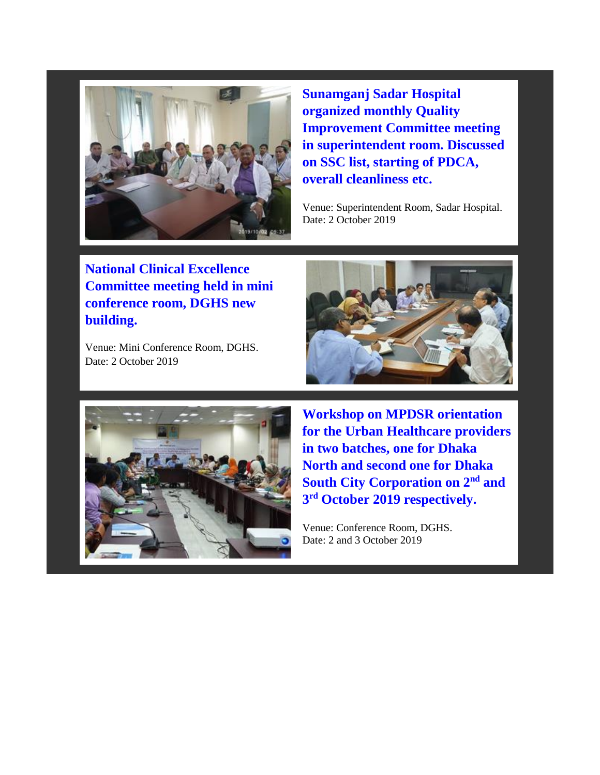

**Sunamganj Sadar Hospital organized monthly Quality Improvement Committee meeting in superintendent room. Discussed on SSC list, starting of PDCA, overall cleanliness etc.**

Venue: Superintendent Room, Sadar Hospital. Date: 2 October 2019

**National Clinical Excellence Committee meeting held in mini conference room, DGHS new building.**

Venue: Mini Conference Room, DGHS. Date: 2 October 2019





**Workshop on MPDSR orientation for the Urban Healthcare providers in two batches, one for Dhaka North and second one for Dhaka South City Corporation on 2nd and 3 rd October 2019 respectively.** 

Venue: Conference Room, DGHS. Date: 2 and 3 October 2019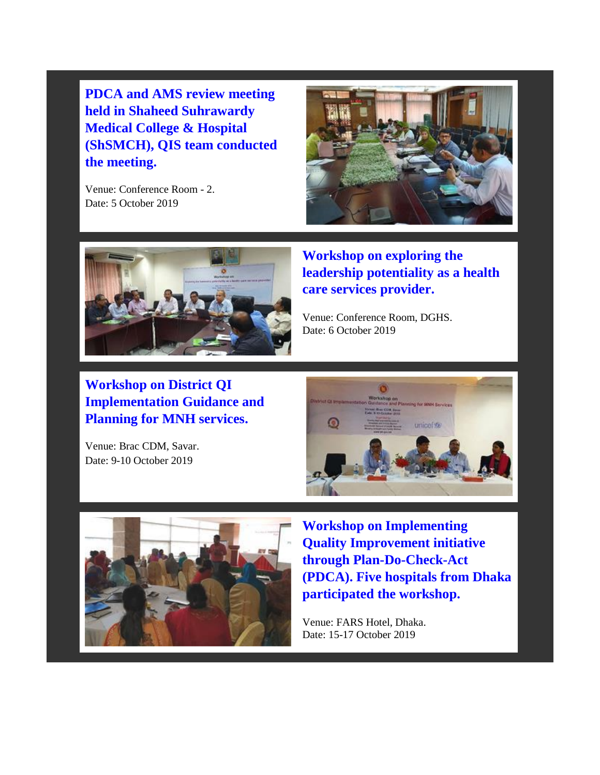**PDCA and AMS review meeting held in Shaheed Suhrawardy Medical College & Hospital (ShSMCH), QIS team conducted the meeting.**

Venue: Conference Room - 2. Date: 5 October 2019





**Workshop on exploring the leadership potentiality as a health care services provider.** 

Venue: Conference Room, DGHS. Date: 6 October 2019

**Workshop on District QI Implementation Guidance and Planning for MNH services.**

Venue: Brac CDM, Savar. Date: 9-10 October 2019





**Workshop on Implementing Quality Improvement initiative through Plan-Do-Check-Act (PDCA). Five hospitals from Dhaka participated the workshop.**

Venue: FARS Hotel, Dhaka. Date: 15-17 October 2019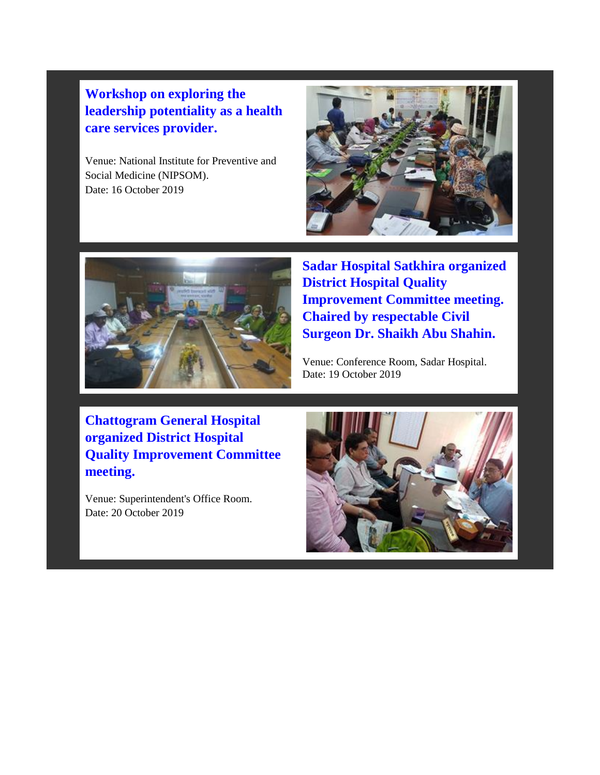## **Workshop on exploring the leadership potentiality as a health care services provider.**

Venue: National Institute for Preventive and Social Medicine (NIPSOM). Date: 16 October 2019





**Sadar Hospital Satkhira organized District Hospital Quality Improvement Committee meeting. Chaired by respectable Civil Surgeon Dr. Shaikh Abu Shahin.**

Venue: Conference Room, Sadar Hospital. Date: 19 October 2019

**Chattogram General Hospital organized District Hospital Quality Improvement Committee meeting.**

Venue: Superintendent's Office Room. Date: 20 October 2019

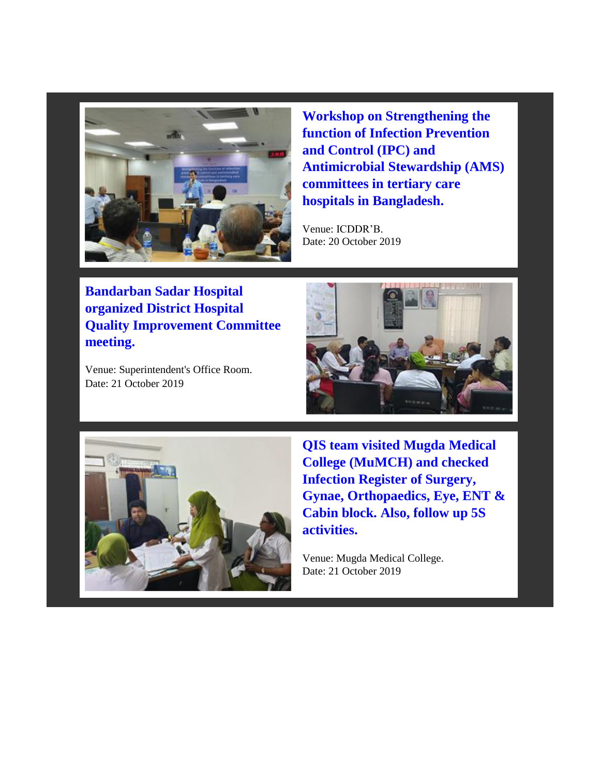

**Workshop on Strengthening the function of Infection Prevention and Control (IPC) and Antimicrobial Stewardship (AMS) committees in tertiary care hospitals in Bangladesh.** 

Venue: ICDDR'B. Date: 20 October 2019

**Bandarban Sadar Hospital organized District Hospital Quality Improvement Committee meeting.**

Venue: Superintendent's Office Room. Date: 21 October 2019





**QIS team visited Mugda Medical College (MuMCH) and checked Infection Register of Surgery, Gynae, Orthopaedics, Eye, ENT & Cabin block. Also, follow up 5S activities.** 

Venue: Mugda Medical College. Date: 21 October 2019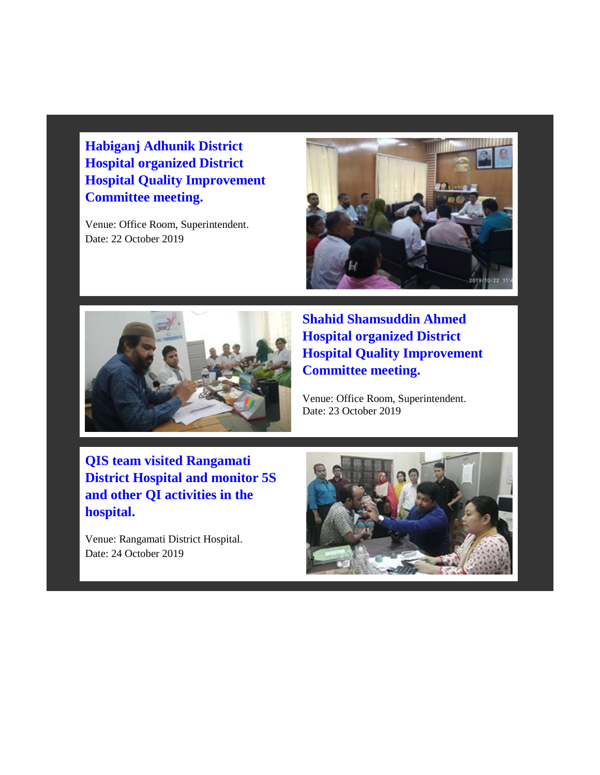**Habiganj Adhunik District Hospital organized District Hospital Quality Improvement Committee meeting.**

Venue: Office Room, Superintendent. Date: 22 October 2019





**Shahid Shamsuddin Ahmed Hospital organized District Hospital Quality Improvement Committee meeting.** 

Venue: Office Room, Superintendent. Date: 23 October 2019

**QIS team visited Rangamati District Hospital and monitor 5S and other QI activities in the hospital.**

Venue: Rangamati District Hospital. Date: 24 October 2019